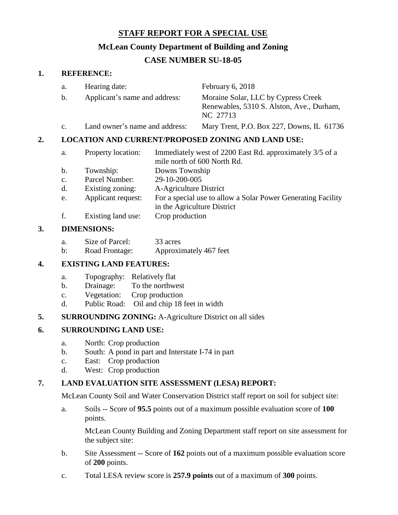# **STAFF REPORT FOR A SPECIAL USE**

## **McLean County Department of Building and Zoning**

# **CASE NUMBER SU-18-05**

### **1. REFERENCE:**

|    | a.                                                        | Hearing date:                  |                                                                                                                            | February 6, 2018                                                                             |  |
|----|-----------------------------------------------------------|--------------------------------|----------------------------------------------------------------------------------------------------------------------------|----------------------------------------------------------------------------------------------|--|
|    | Applicant's name and address:<br>b.                       |                                |                                                                                                                            | Moraine Solar, LLC by Cypress Creek<br>Renewables, 5310 S. Alston, Ave., Durham,<br>NC 27713 |  |
|    | $\mathbf{C}$ .                                            | Land owner's name and address: |                                                                                                                            | Mary Trent, P.O. Box 227, Downs, IL 61736                                                    |  |
| 2. | <b>LOCATION AND CURRENT/PROPOSED ZONING AND LAND USE:</b> |                                |                                                                                                                            |                                                                                              |  |
|    | a.                                                        | Property location:             | Immediately west of 2200 East Rd. approximately 3/5 of a<br>mile north of 600 North Rd.<br>Downs Township<br>29-10-200-005 |                                                                                              |  |
|    | b.                                                        | Township:                      |                                                                                                                            |                                                                                              |  |
|    | $\mathbf{c}$ .                                            | Parcel Number:                 |                                                                                                                            |                                                                                              |  |
|    | d.                                                        | Existing zoning:               | A-Agriculture District                                                                                                     |                                                                                              |  |
|    |                                                           |                                |                                                                                                                            |                                                                                              |  |

- e. Applicant request: For a special use to allow a Solar Power Generating Facility in the Agriculture District
- f. Existing land use: Crop production

### **3. DIMENSIONS:**

b: Road Frontage: Approximately 467 feet

### **4. EXISTING LAND FEATURES:**

- a. Topography: Relatively flat
- b. Drainage: To the northwest
- c. Vegetation: Crop production
- d. Public Road: Oil and chip 18 feet in width

### **5. SURROUNDING ZONING:** A-Agriculture District on all sides

### **6. SURROUNDING LAND USE:**

- a. North: Crop production
- b. South: A pond in part and Interstate I-74 in part
- c. East: Crop production
- d. West: Crop production

### **7. LAND EVALUATION SITE ASSESSMENT (LESA) REPORT:**

McLean County Soil and Water Conservation District staff report on soil for subject site:

a. Soils -- Score of **95.5** points out of a maximum possible evaluation score of **100** points.

McLean County Building and Zoning Department staff report on site assessment for the subject site:

- b. Site Assessment -- Score of **162** points out of a maximum possible evaluation score of **200** points.
- c. Total LESA review score is **257.9 points** out of a maximum of **300** points.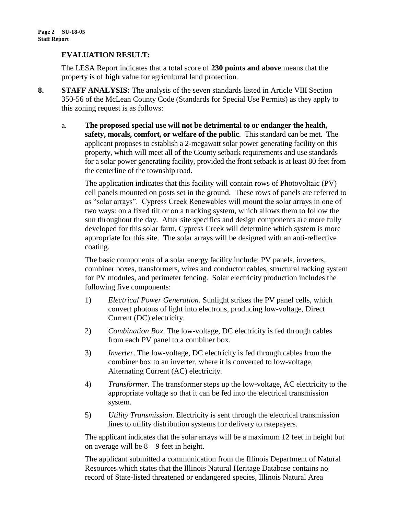### **EVALUATION RESULT:**

The LESA Report indicates that a total score of **230 points and above** means that the property is of **high** value for agricultural land protection.

- **8. STAFF ANALYSIS:** The analysis of the seven standards listed in Article VIII Section 350-56 of the McLean County Code (Standards for Special Use Permits) as they apply to this zoning request is as follows:
	- a. **The proposed special use will not be detrimental to or endanger the health, safety, morals, comfort, or welfare of the public**. This standard can be met. The applicant proposes to establish a 2-megawatt solar power generating facility on this property, which will meet all of the County setback requirements and use standards for a solar power generating facility, provided the front setback is at least 80 feet from the centerline of the township road.

The application indicates that this facility will contain rows of Photovoltaic (PV) cell panels mounted on posts set in the ground. These rows of panels are referred to as "solar arrays". Cypress Creek Renewables will mount the solar arrays in one of two ways: on a fixed tilt or on a tracking system, which allows them to follow the sun throughout the day. After site specifics and design components are more fully developed for this solar farm, Cypress Creek will determine which system is more appropriate for this site. The solar arrays will be designed with an anti-reflective coating.

The basic components of a solar energy facility include: PV panels, inverters, combiner boxes, transformers, wires and conductor cables, structural racking system for PV modules, and perimeter fencing. Solar electricity production includes the following five components:

- 1) *Electrical Power Generation*. Sunlight strikes the PV panel cells, which convert photons of light into electrons, producing low-voltage, Direct Current (DC) electricity.
- 2) *Combination Box*. The low-voltage, DC electricity is fed through cables from each PV panel to a combiner box.
- 3) *Inverter*. The low-voltage, DC electricity is fed through cables from the combiner box to an inverter, where it is converted to low-voltage, Alternating Current (AC) electricity.
- 4) *Transformer*. The transformer steps up the low-voltage, AC electricity to the appropriate voltage so that it can be fed into the electrical transmission system.
- 5) *Utility Transmission*. Electricity is sent through the electrical transmission lines to utility distribution systems for delivery to ratepayers.

The applicant indicates that the solar arrays will be a maximum 12 feet in height but on average will be  $8 - 9$  feet in height.

The applicant submitted a communication from the Illinois Department of Natural Resources which states that the Illinois Natural Heritage Database contains no record of State-listed threatened or endangered species, Illinois Natural Area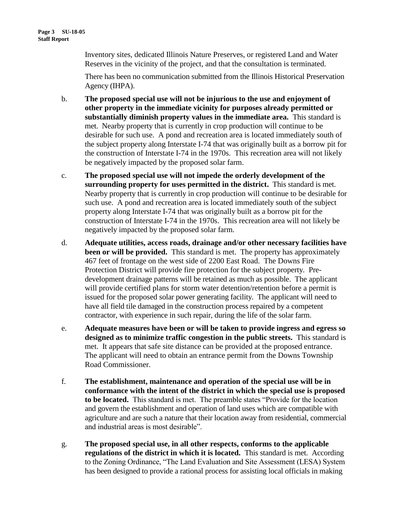Inventory sites, dedicated Illinois Nature Preserves, or registered Land and Water Reserves in the vicinity of the project, and that the consultation is terminated.

There has been no communication submitted from the Illinois Historical Preservation Agency (IHPA).

- b. **The proposed special use will not be injurious to the use and enjoyment of other property in the immediate vicinity for purposes already permitted or substantially diminish property values in the immediate area.** This standard is met. Nearby property that is currently in crop production will continue to be desirable for such use. A pond and recreation area is located immediately south of the subject property along Interstate I-74 that was originally built as a borrow pit for the construction of Interstate I-74 in the 1970s. This recreation area will not likely be negatively impacted by the proposed solar farm.
- c. **The proposed special use will not impede the orderly development of the surrounding property for uses permitted in the district.** This standard is met. Nearby property that is currently in crop production will continue to be desirable for such use. A pond and recreation area is located immediately south of the subject property along Interstate I-74 that was originally built as a borrow pit for the construction of Interstate I-74 in the 1970s. This recreation area will not likely be negatively impacted by the proposed solar farm.
- d. **Adequate utilities, access roads, drainage and/or other necessary facilities have been or will be provided.** This standard is met. The property has approximately 467 feet of frontage on the west side of 2200 East Road. The Downs Fire Protection District will provide fire protection for the subject property. Predevelopment drainage patterns will be retained as much as possible. The applicant will provide certified plans for storm water detention/retention before a permit is issued for the proposed solar power generating facility. The applicant will need to have all field tile damaged in the construction process repaired by a competent contractor, with experience in such repair, during the life of the solar farm.
- e. **Adequate measures have been or will be taken to provide ingress and egress so designed as to minimize traffic congestion in the public streets.** This standard is met. It appears that safe site distance can be provided at the proposed entrance. The applicant will need to obtain an entrance permit from the Downs Township Road Commissioner.
- f. **The establishment, maintenance and operation of the special use will be in conformance with the intent of the district in which the special use is proposed to be located.** This standard is met. The preamble states "Provide for the location and govern the establishment and operation of land uses which are compatible with agriculture and are such a nature that their location away from residential, commercial and industrial areas is most desirable".
- g. **The proposed special use, in all other respects, conforms to the applicable regulations of the district in which it is located.** This standard is met. According to the Zoning Ordinance, "The Land Evaluation and Site Assessment (LESA) System has been designed to provide a rational process for assisting local officials in making